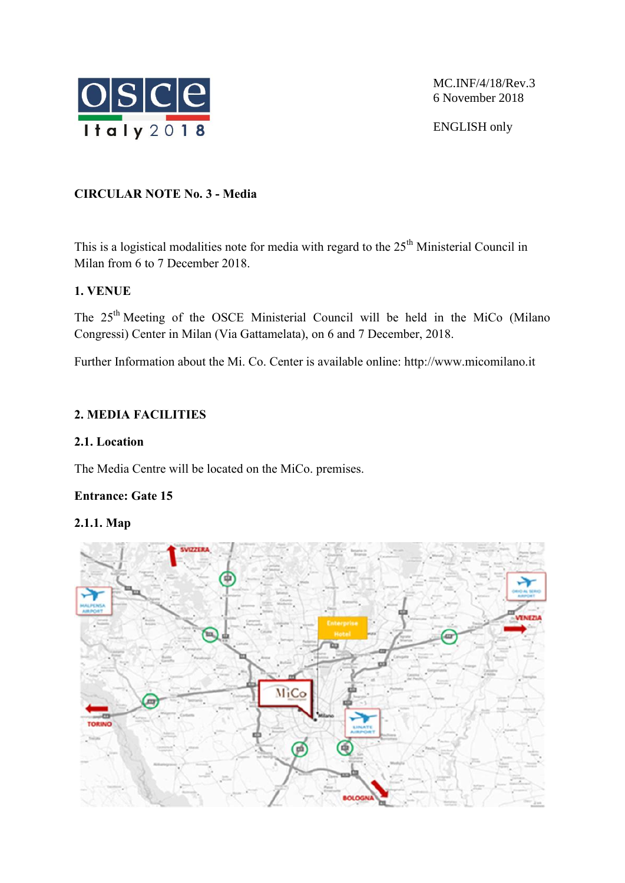

MC.INF/4/18/Rev.3 6 November 2018

ENGLISH only

## **CIRCULAR NOTE No. 3 - Media**

This is a logistical modalities note for media with regard to the  $25<sup>th</sup>$  Ministerial Council in Milan from 6 to 7 December 2018.

## **1. VENUE**

The 25<sup>th</sup> Meeting of the OSCE Ministerial Council will be held in the MiCo (Milano Congressi) Center in Milan (Via Gattamelata), on 6 and 7 December, 2018.

Further Information about the Mi. Co. Center is available online: http://www.micomilano.it

# **2. MEDIA FACILITIES**

### **2.1. Location**

The Media Centre will be located on the MiCo. premises.

# **Entrance: Gate 15**

#### **2.1.1. Map**

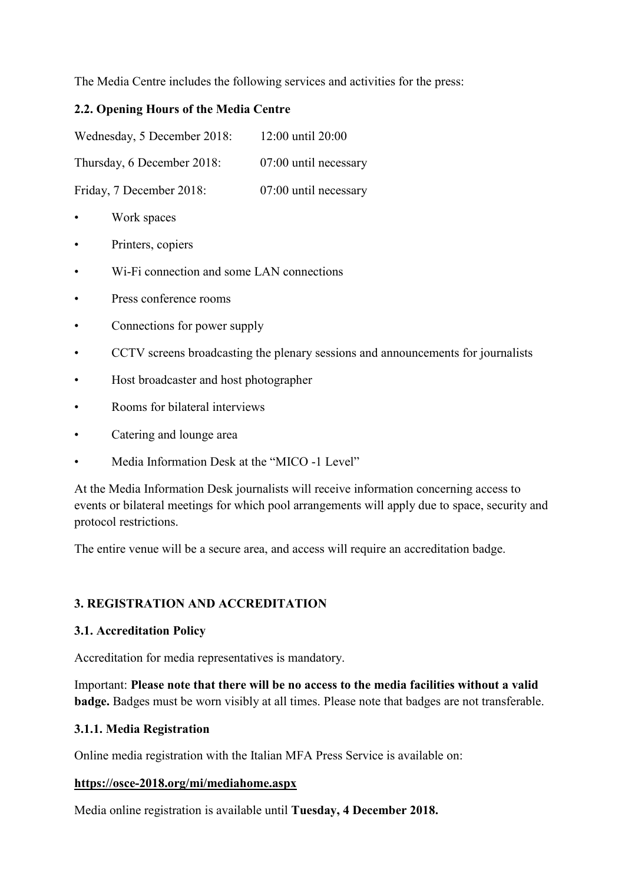The Media Centre includes the following services and activities for the press:

### **2.2. Opening Hours of the Media Centre**

Wednesday, 5 December 2018: 12:00 until 20:00

Thursday, 6 December 2018: 07:00 until necessary

Friday, 7 December 2018: 07:00 until necessary

- Work spaces
- Printers, copiers
- Wi-Fi connection and some LAN connections
- Press conference rooms
- Connections for power supply
- CCTV screens broadcasting the plenary sessions and announcements for journalists
- Host broadcaster and host photographer
- Rooms for bilateral interviews
- Catering and lounge area
- Media Information Desk at the "MICO -1 Level"

At the Media Information Desk journalists will receive information concerning access to events or bilateral meetings for which pool arrangements will apply due to space, security and protocol restrictions.

The entire venue will be a secure area, and access will require an accreditation badge.

# **3. REGISTRATION AND ACCREDITATION**

#### **3.1. Accreditation Policy**

Accreditation for media representatives is mandatory.

Important: **Please note that there will be no access to the media facilities without a valid badge.** Badges must be worn visibly at all times. Please note that badges are not transferable.

#### **3.1.1. Media Registration**

Online media registration with the Italian MFA Press Service is available on:

#### **https://osce-2018.org/mi/mediahome.aspx**

Media online registration is available until **Tuesday, 4 December 2018.**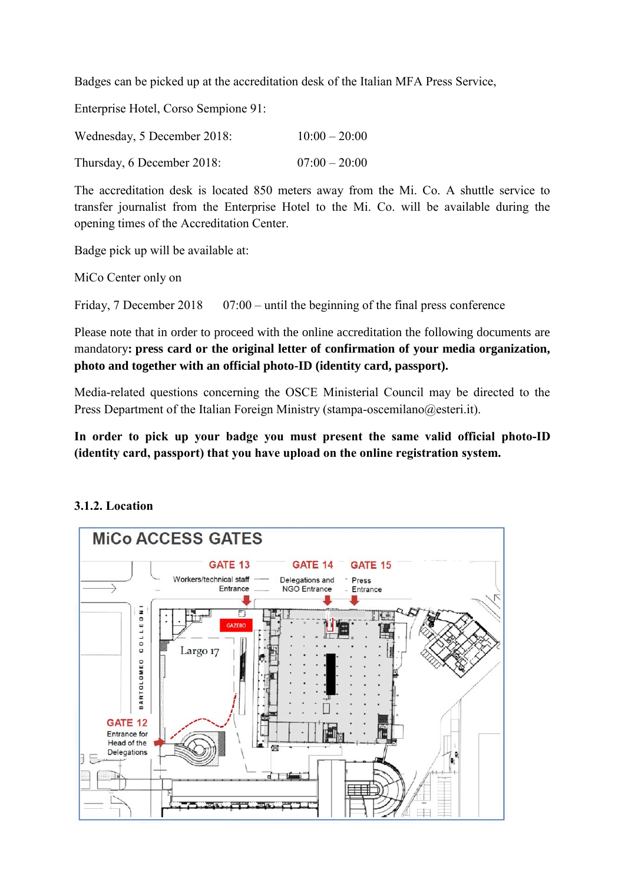Badges can be picked up at the accreditation desk of the Italian MFA Press Service,

Enterprise Hotel, Corso Sempione 91:

| Wednesday, 5 December 2018: | $10:00 - 20:00$ |
|-----------------------------|-----------------|
| Thursday, 6 December 2018:  | $07:00 - 20:00$ |

The accreditation desk is located 850 meters away from the Mi. Co. A shuttle service to transfer journalist from the Enterprise Hotel to the Mi. Co. will be available during the opening times of the Accreditation Center.

Badge pick up will be available at:

MiCo Center only on

Friday, 7 December 2018  $07:00 -$  until the beginning of the final press conference

Please note that in order to proceed with the online accreditation the following documents are mandatory**: press card or the original letter of confirmation of your media organization, photo and together with an official photo-ID (identity card, passport).**

Media-related questions concerning the OSCE Ministerial Council may be directed to the Press Department of the Italian Foreign Ministry (stampa-oscemilano@esteri.it).

**In order to pick up your badge you must present the same valid official photo-ID (identity card, passport) that you have upload on the online registration system.**

#### **3.1.2. Location**

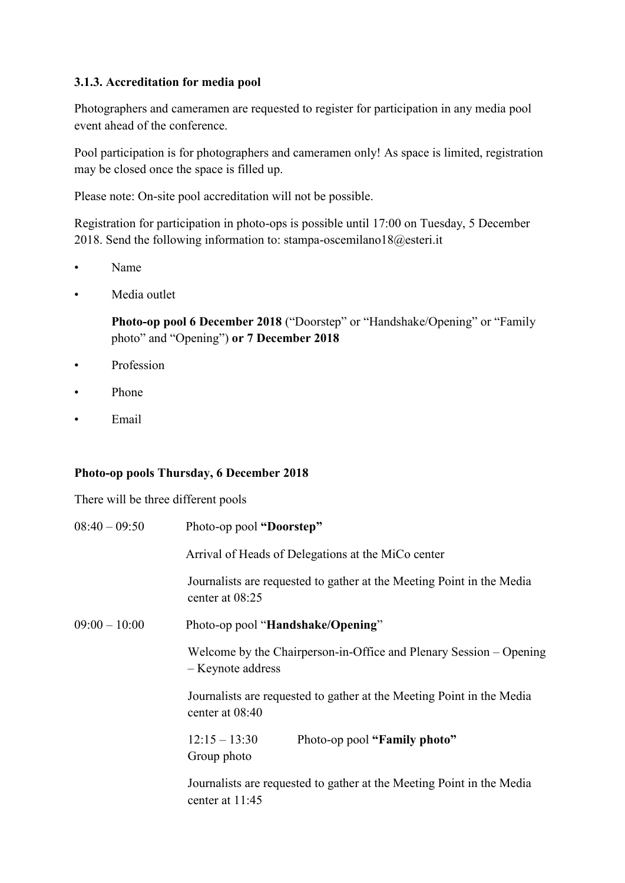## **3.1.3. Accreditation for media pool**

Photographers and cameramen are requested to register for participation in any media pool event ahead of the conference.

Pool participation is for photographers and cameramen only! As space is limited, registration may be closed once the space is filled up.

Please note: On-site pool accreditation will not be possible.

Registration for participation in photo-ops is possible until 17:00 on Tuesday, 5 December 2018. Send the following information to: stampa-oscemilano18@esteri.it

- Name
- Media outlet

**Photo-op pool 6 December 2018** ("Doorstep" or "Handshake/Opening" or "Family photo" and "Opening") **or 7 December 2018**

- Profession
- Phone
- Email

#### **Photo-op pools Thursday, 6 December 2018**

There will be three different pools

| $08:40 - 09:50$ | Photo-op pool "Doorstep"                                                                   |  |
|-----------------|--------------------------------------------------------------------------------------------|--|
|                 | Arrival of Heads of Delegations at the MiCo center                                         |  |
|                 | Journalists are requested to gather at the Meeting Point in the Media<br>center at 08:25   |  |
| $09:00 - 10:00$ | Photo-op pool "Handshake/Opening"                                                          |  |
|                 | Welcome by the Chairperson-in-Office and Plenary Session – Opening<br>- Keynote address    |  |
|                 | Journalists are requested to gather at the Meeting Point in the Media<br>center at $08:40$ |  |
|                 | $12:15 - 13:30$<br>Photo-op pool "Family photo"<br>Group photo                             |  |
|                 | Journalists are requested to gather at the Meeting Point in the Media<br>center at 11:45   |  |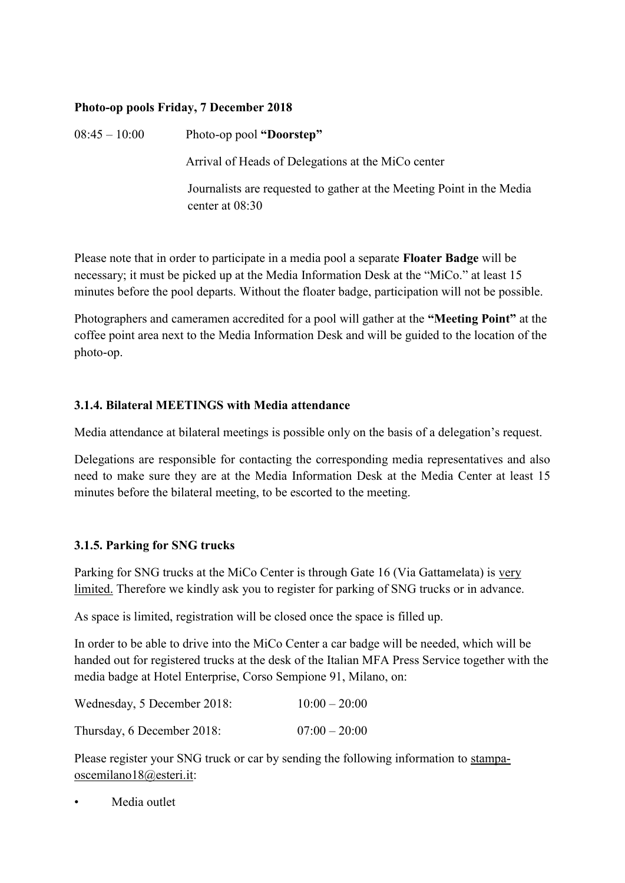### **Photo-op pools Friday, 7 December 2018**

08:45 – 10:00 Photo-op pool **"Doorstep"** 

Arrival of Heads of Delegations at the MiCo center

Journalists are requested to gather at the Meeting Point in the Media center at 08:30

Please note that in order to participate in a media pool a separate **Floater Badge** will be necessary; it must be picked up at the Media Information Desk at the "MiCo." at least 15 minutes before the pool departs. Without the floater badge, participation will not be possible.

Photographers and cameramen accredited for a pool will gather at the **"Meeting Point"** at the coffee point area next to the Media Information Desk and will be guided to the location of the photo-op.

## **3.1.4. Bilateral MEETINGS with Media attendance**

Media attendance at bilateral meetings is possible only on the basis of a delegation's request.

Delegations are responsible for contacting the corresponding media representatives and also need to make sure they are at the Media Information Desk at the Media Center at least 15 minutes before the bilateral meeting, to be escorted to the meeting.

# **3.1.5. Parking for SNG trucks**

Parking for SNG trucks at the MiCo Center is through Gate 16 (Via Gattamelata) is very limited. Therefore we kindly ask you to register for parking of SNG trucks or in advance.

As space is limited, registration will be closed once the space is filled up.

In order to be able to drive into the MiCo Center a car badge will be needed, which will be handed out for registered trucks at the desk of the Italian MFA Press Service together with the media badge at Hotel Enterprise, Corso Sempione 91, Milano, on:

| Wednesday, 5 December 2018: | $10:00 - 20:00$ |
|-----------------------------|-----------------|
| Thursday, 6 December 2018:  | $07:00 - 20:00$ |

Please register your SNG truck or car by sending the following information to stampaoscemilano18@esteri.it:

Media outlet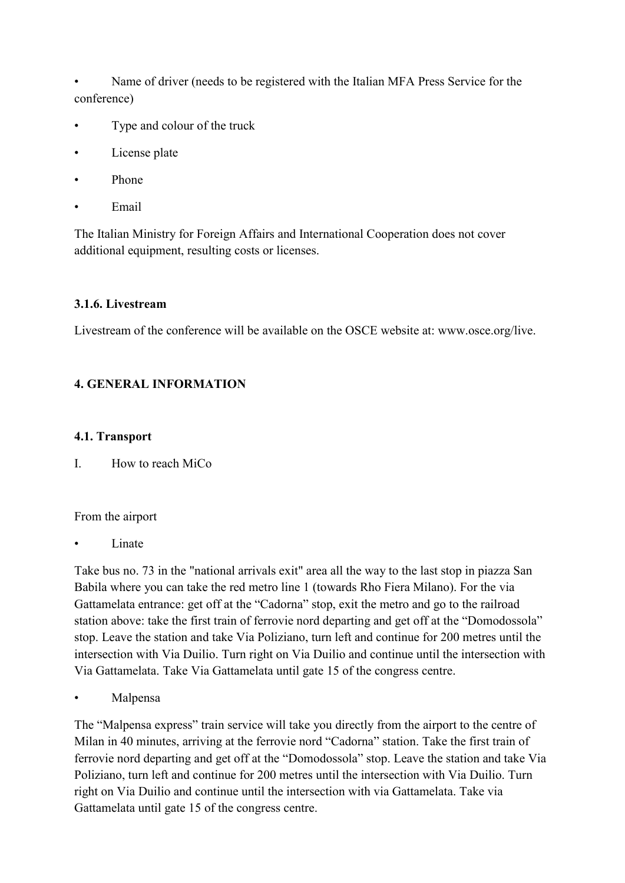• Name of driver (needs to be registered with the Italian MFA Press Service for the conference)

- Type and colour of the truck
- License plate
- Phone
- Email

The Italian Ministry for Foreign Affairs and International Cooperation does not cover additional equipment, resulting costs or licenses.

## **3.1.6. Livestream**

Livestream of the conference will be available on the OSCE website at: www.osce.org/live.

# **4. GENERAL INFORMATION**

#### **4.1. Transport**

I. How to reach MiCo

#### From the airport

**Linate** 

Take bus no. 73 in the "national arrivals exit" area all the way to the last stop in piazza San Babila where you can take the red metro line 1 (towards Rho Fiera Milano). For the via Gattamelata entrance: get off at the "Cadorna" stop, exit the metro and go to the railroad station above: take the first train of ferrovie nord departing and get off at the "Domodossola" stop. Leave the station and take Via Poliziano, turn left and continue for 200 metres until the intersection with Via Duilio. Turn right on Via Duilio and continue until the intersection with Via Gattamelata. Take Via Gattamelata until gate 15 of the congress centre.

**Malpensa** 

The "Malpensa express" train service will take you directly from the airport to the centre of Milan in 40 minutes, arriving at the ferrovie nord "Cadorna" station. Take the first train of ferrovie nord departing and get off at the "Domodossola" stop. Leave the station and take Via Poliziano, turn left and continue for 200 metres until the intersection with Via Duilio. Turn right on Via Duilio and continue until the intersection with via Gattamelata. Take via Gattamelata until gate 15 of the congress centre.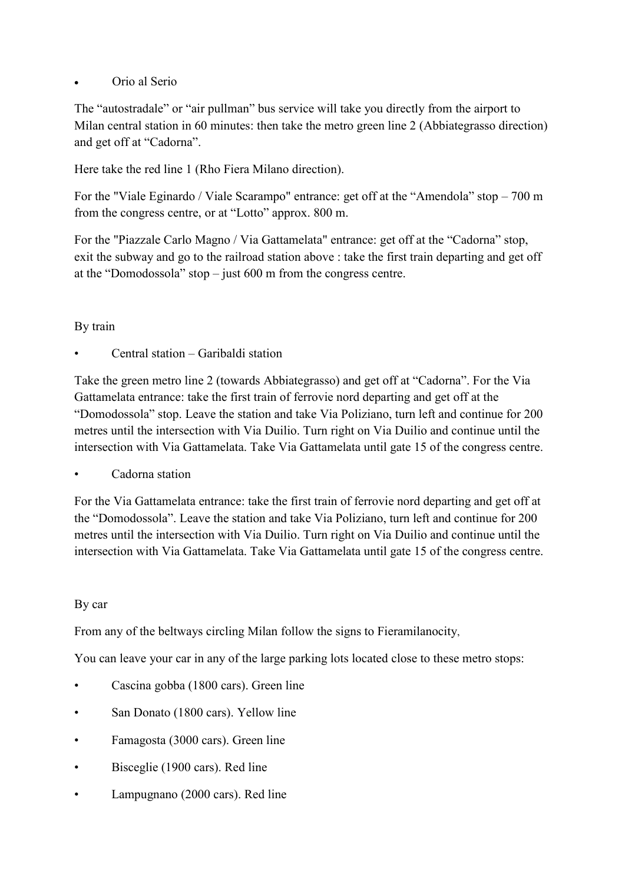## Orio al Serio

The "autostradale" or "air pullman" bus service will take you directly from the airport to Milan central station in 60 minutes: then take the metro green line 2 (Abbiategrasso direction) and get off at "Cadorna".

Here take the red line 1 (Rho Fiera Milano direction).

For the "Viale Eginardo / Viale Scarampo" entrance: get off at the "Amendola" stop – 700 m from the congress centre, or at "Lotto" approx. 800 m.

For the "Piazzale Carlo Magno / Via Gattamelata" entrance: get off at the "Cadorna" stop, exit the subway and go to the railroad station above : take the first train departing and get off at the "Domodossola" stop – just 600 m from the congress centre.

#### By train

• Central station – Garibaldi station

Take the green metro line 2 (towards Abbiategrasso) and get off at "Cadorna". For the Via Gattamelata entrance: take the first train of ferrovie nord departing and get off at the "Domodossola" stop. Leave the station and take Via Poliziano, turn left and continue for 200 metres until the intersection with Via Duilio. Turn right on Via Duilio and continue until the intersection with Via Gattamelata. Take Via Gattamelata until gate 15 of the congress centre.

Cadorna station

For the Via Gattamelata entrance: take the first train of ferrovie nord departing and get off at the "Domodossola". Leave the station and take Via Poliziano, turn left and continue for 200 metres until the intersection with Via Duilio. Turn right on Via Duilio and continue until the intersection with Via Gattamelata. Take Via Gattamelata until gate 15 of the congress centre.

#### By car

From any of the beltways circling Milan follow the signs to Fieramilanocity,

You can leave your car in any of the large parking lots located close to these metro stops:

- Cascina gobba (1800 cars). Green line
- San Donato (1800 cars). Yellow line
- Famagosta (3000 cars). Green line
- Bisceglie (1900 cars). Red line
- Lampugnano (2000 cars). Red line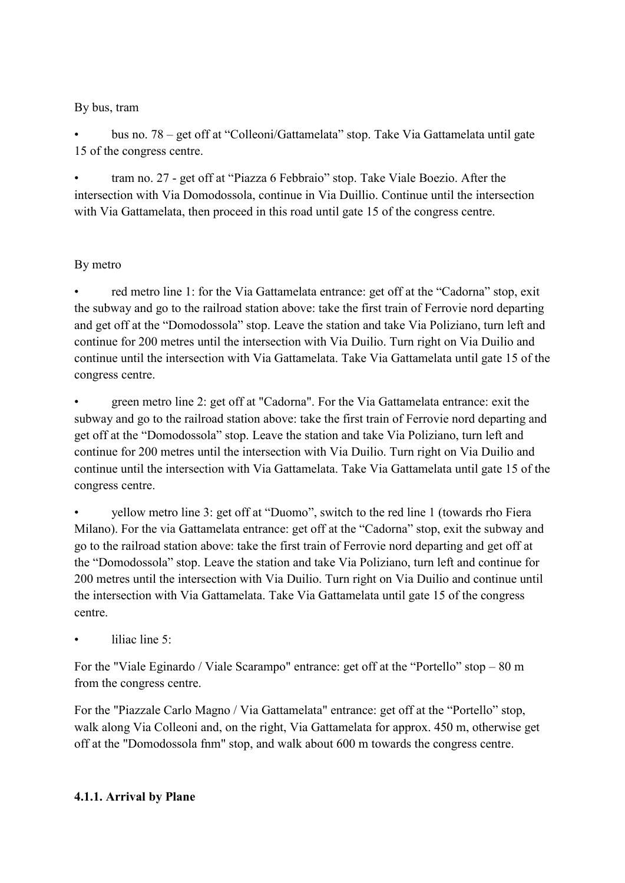### By bus, tram

• bus no. 78 – get off at "Colleoni/Gattamelata" stop. Take Via Gattamelata until gate 15 of the congress centre.

• tram no. 27 - get off at "Piazza 6 Febbraio" stop. Take Viale Boezio. After the intersection with Via Domodossola, continue in Via Duillio. Continue until the intersection with Via Gattamelata, then proceed in this road until gate 15 of the congress centre.

# By metro

red metro line 1: for the Via Gattamelata entrance: get off at the "Cadorna" stop, exit the subway and go to the railroad station above: take the first train of Ferrovie nord departing and get off at the "Domodossola" stop. Leave the station and take Via Poliziano, turn left and continue for 200 metres until the intersection with Via Duilio. Turn right on Via Duilio and continue until the intersection with Via Gattamelata. Take Via Gattamelata until gate 15 of the congress centre.

• green metro line 2: get off at "Cadorna". For the Via Gattamelata entrance: exit the subway and go to the railroad station above: take the first train of Ferrovie nord departing and get off at the "Domodossola" stop. Leave the station and take Via Poliziano, turn left and continue for 200 metres until the intersection with Via Duilio. Turn right on Via Duilio and continue until the intersection with Via Gattamelata. Take Via Gattamelata until gate 15 of the congress centre.

• yellow metro line 3: get off at "Duomo", switch to the red line 1 (towards rho Fiera Milano). For the via Gattamelata entrance: get off at the "Cadorna" stop, exit the subway and go to the railroad station above: take the first train of Ferrovie nord departing and get off at the "Domodossola" stop. Leave the station and take Via Poliziano, turn left and continue for 200 metres until the intersection with Via Duilio. Turn right on Via Duilio and continue until the intersection with Via Gattamelata. Take Via Gattamelata until gate 15 of the congress centre.

liliac line  $5<sup>°</sup>$ 

For the "Viale Eginardo / Viale Scarampo" entrance: get off at the "Portello" stop – 80 m from the congress centre.

For the "Piazzale Carlo Magno / Via Gattamelata" entrance: get off at the "Portello" stop, walk along Via Colleoni and, on the right, Via Gattamelata for approx. 450 m, otherwise get off at the "Domodossola fnm" stop, and walk about 600 m towards the congress centre.

# **4.1.1. Arrival by Plane**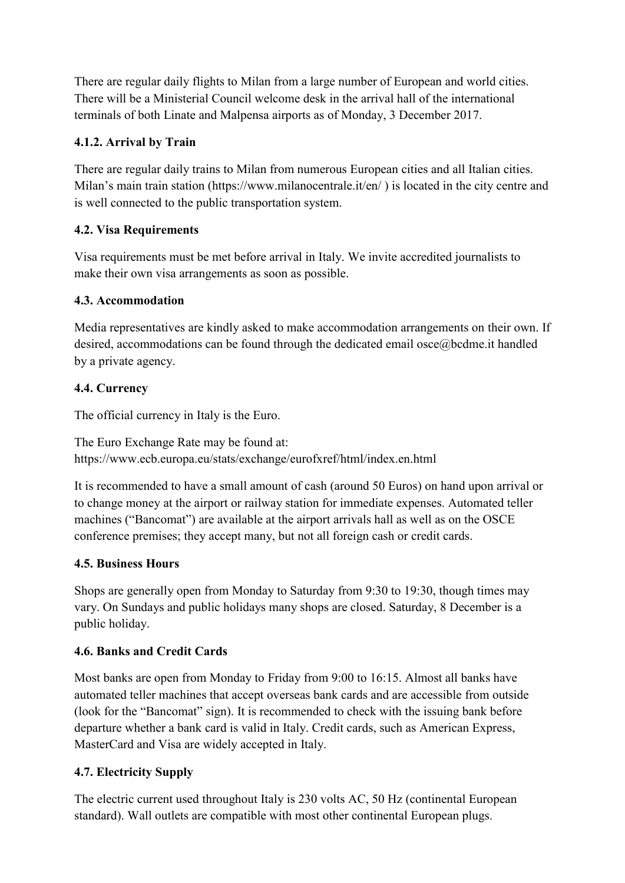There are regular daily flights to Milan from a large number of European and world cities. There will be a Ministerial Council welcome desk in the arrival hall of the international terminals of both Linate and Malpensa airports as of Monday, 3 December 2017.

# **4.1.2. Arrival by Train**

There are regular daily trains to Milan from numerous European cities and all Italian cities. Milan's main train station (https://www.milanocentrale.it/en/) is located in the city centre and is well connected to the public transportation system.

# **4.2. Visa Requirements**

Visa requirements must be met before arrival in Italy. We invite accredited journalists to make their own visa arrangements as soon as possible.

# **4.3. Accommodation**

Media representatives are kindly asked to make accommodation arrangements on their own. If desired, accommodations can be found through the dedicated email osce@bcdme.it handled by a private agency.

# **4.4. Currency**

The official currency in Italy is the Euro.

The Euro Exchange Rate may be found at: https://www.ecb.europa.eu/stats/exchange/eurofxref/html/index.en.html

It is recommended to have a small amount of cash (around 50 Euros) on hand upon arrival or to change money at the airport or railway station for immediate expenses. Automated teller machines ("Bancomat") are available at the airport arrivals hall as well as on the OSCE conference premises; they accept many, but not all foreign cash or credit cards.

# **4.5. Business Hours**

Shops are generally open from Monday to Saturday from 9:30 to 19:30, though times may vary. On Sundays and public holidays many shops are closed. Saturday, 8 December is a public holiday.

# **4.6. Banks and Credit Cards**

Most banks are open from Monday to Friday from 9:00 to 16:15. Almost all banks have automated teller machines that accept overseas bank cards and are accessible from outside (look for the "Bancomat" sign). It is recommended to check with the issuing bank before departure whether a bank card is valid in Italy. Credit cards, such as American Express, MasterCard and Visa are widely accepted in Italy.

# **4.7. Electricity Supply**

The electric current used throughout Italy is 230 volts AC, 50 Hz (continental European standard). Wall outlets are compatible with most other continental European plugs.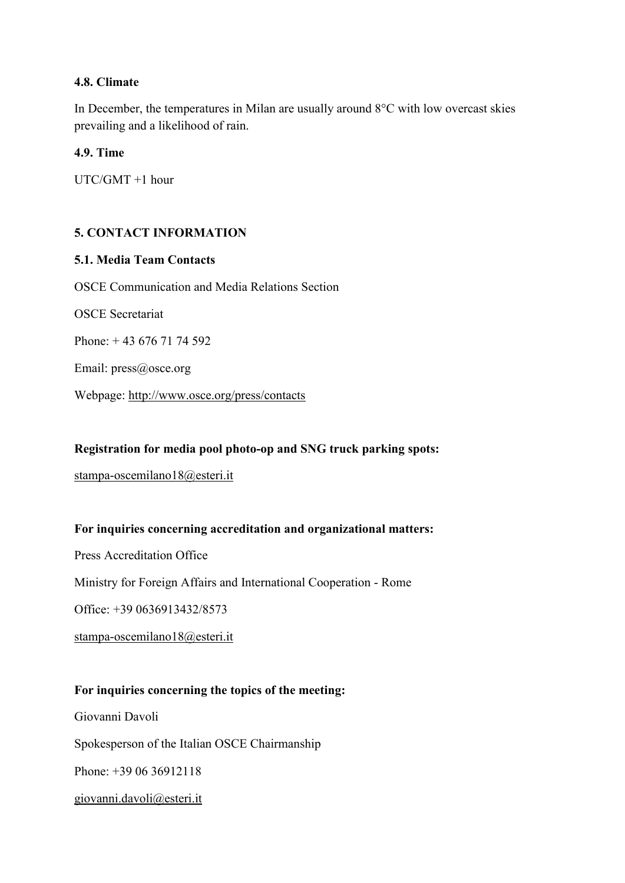### **4.8. Climate**

In December, the temperatures in Milan are usually around 8°C with low overcast skies prevailing and a likelihood of rain.

## **4.9. Time**

UTC/GMT +1 hour

## **5. CONTACT INFORMATION**

#### **5.1. Media Team Contacts**

OSCE Communication and Media Relations Section OSCE Secretariat Phone: + 43 676 71 74 592 Email: press@osce.org Webpage: http://www.osce.org/press/contacts

#### **Registration for media pool photo-op and SNG truck parking spots:**

stampa-oscemilano18@esteri.it

#### **For inquiries concerning accreditation and organizational matters:**

Press Accreditation Office

Ministry for Foreign Affairs and International Cooperation - Rome

Office: +39 0636913432/8573

stampa-oscemilano18@esteri.it

#### **For inquiries concerning the topics of the meeting:**

Giovanni Davoli Spokesperson of the Italian OSCE Chairmanship Phone: +39 06 36912118 giovanni.davoli@esteri.it